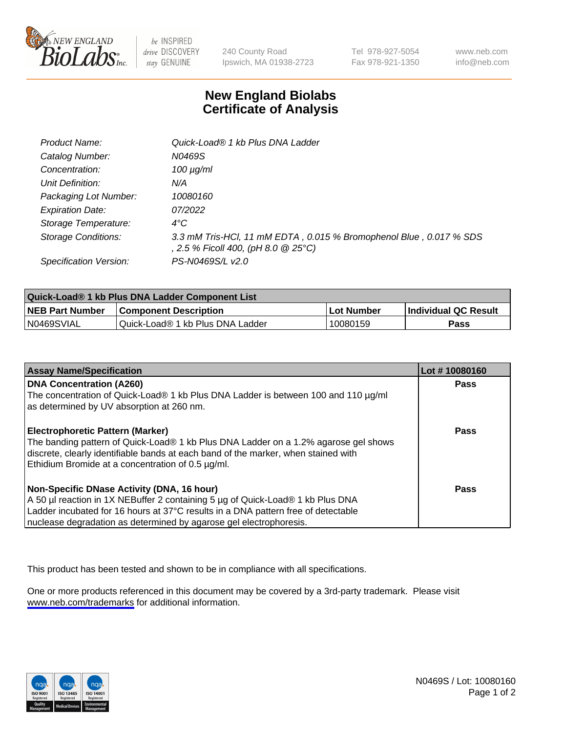

be INSPIRED drive DISCOVERY stay GENUINE

240 County Road Ipswich, MA 01938-2723 Tel 978-927-5054 Fax 978-921-1350

www.neb.com info@neb.com

## **New England Biolabs Certificate of Analysis**

| Product Name:              | Quick-Load® 1 kb Plus DNA Ladder                                                                          |
|----------------------------|-----------------------------------------------------------------------------------------------------------|
| Catalog Number:            | N0469S                                                                                                    |
| Concentration:             | $100 \mu g/ml$                                                                                            |
| Unit Definition:           | N/A                                                                                                       |
| Packaging Lot Number:      | 10080160                                                                                                  |
| <b>Expiration Date:</b>    | 07/2022                                                                                                   |
| Storage Temperature:       | $4^{\circ}$ C                                                                                             |
| <b>Storage Conditions:</b> | 3.3 mM Tris-HCl, 11 mM EDTA, 0.015 % Bromophenol Blue, 0.017 % SDS<br>, 2.5 % Ficoll 400, (pH 8.0 @ 25°C) |
| Specification Version:     | PS-N0469S/L v2.0                                                                                          |

| Quick-Load® 1 kb Plus DNA Ladder Component List |                                  |                   |                      |  |
|-------------------------------------------------|----------------------------------|-------------------|----------------------|--|
| <b>NEB Part Number</b>                          | <b>Component Description</b>     | <b>Lot Number</b> | Individual QC Result |  |
| N0469SVIAL                                      | Quick-Load® 1 kb Plus DNA Ladder | 10080159          | Pass                 |  |

| <b>Assay Name/Specification</b>                                                                                                                                                                                                                                                         | Lot #10080160 |
|-----------------------------------------------------------------------------------------------------------------------------------------------------------------------------------------------------------------------------------------------------------------------------------------|---------------|
| <b>DNA Concentration (A260)</b><br>The concentration of Quick-Load® 1 kb Plus DNA Ladder is between 100 and 110 µg/ml<br>as determined by UV absorption at 260 nm.                                                                                                                      | <b>Pass</b>   |
| <b>Electrophoretic Pattern (Marker)</b><br>The banding pattern of Quick-Load® 1 kb Plus DNA Ladder on a 1.2% agarose gel shows<br>discrete, clearly identifiable bands at each band of the marker, when stained with<br>Ethidium Bromide at a concentration of 0.5 µg/ml.               | Pass          |
| Non-Specific DNase Activity (DNA, 16 hour)<br>A 50 µl reaction in 1X NEBuffer 2 containing 5 µg of Quick-Load® 1 kb Plus DNA<br>Ladder incubated for 16 hours at 37°C results in a DNA pattern free of detectable<br>nuclease degradation as determined by agarose gel electrophoresis. | Pass          |

This product has been tested and shown to be in compliance with all specifications.

One or more products referenced in this document may be covered by a 3rd-party trademark. Please visit <www.neb.com/trademarks>for additional information.